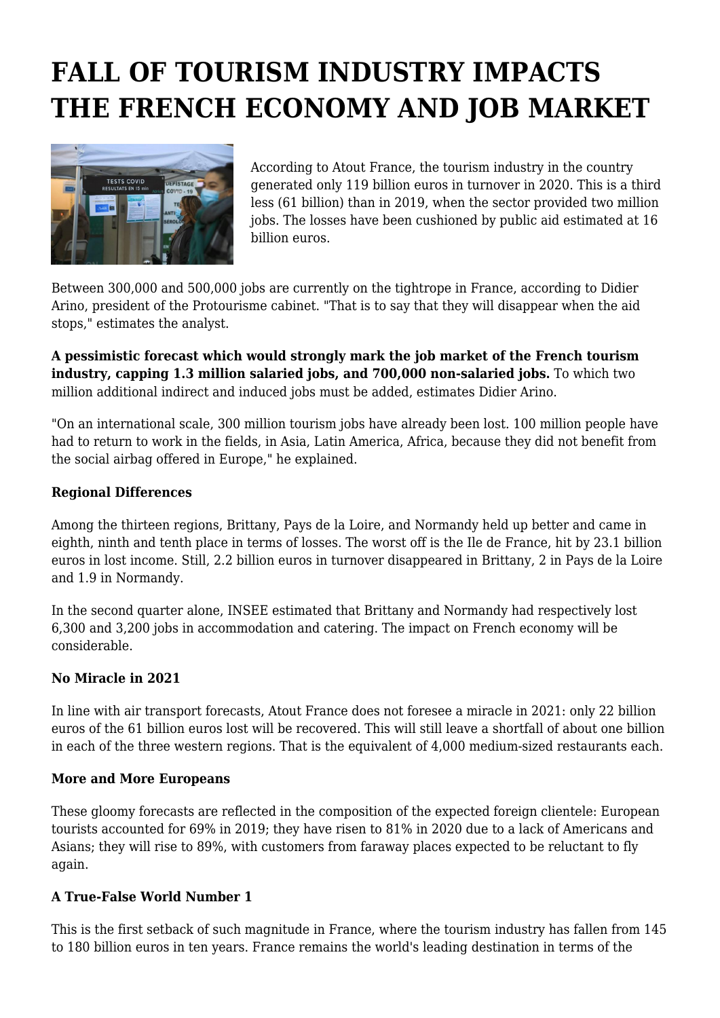# **FALL OF TOURISM INDUSTRY IMPACTS THE FRENCH ECONOMY AND JOB MARKET**



According to Atout France, the tourism industry in the country generated only 119 billion euros in turnover in 2020. This is a third less (61 billion) than in 2019, when the sector provided two million jobs. The losses have been cushioned by public aid estimated at 16 billion euros.

Between 300,000 and 500,000 jobs are currently on the tightrope in France, according to Didier Arino, president of the Protourisme cabinet. "That is to say that they will disappear when the aid stops," estimates the analyst.

**A pessimistic forecast which would strongly mark the job market of the French tourism industry, capping 1.3 million salaried jobs, and 700,000 non-salaried jobs.** To which two million additional indirect and induced jobs must be added, estimates Didier Arino.

"On an international scale, 300 million tourism jobs have already been lost. 100 million people have had to return to work in the fields, in Asia, Latin America, Africa, because they did not benefit from the social airbag offered in Europe," he explained.

# **Regional Differences**

Among the thirteen regions, Brittany, Pays de la Loire, and Normandy held up better and came in eighth, ninth and tenth place in terms of losses. The worst off is the Ile de France, hit by 23.1 billion euros in lost income. Still, 2.2 billion euros in turnover disappeared in Brittany, 2 in Pays de la Loire and 1.9 in Normandy.

In the second quarter alone, INSEE estimated that Brittany and Normandy had respectively lost 6,300 and 3,200 jobs in accommodation and catering. The impact on French economy will be considerable.

# **No Miracle in 2021**

In line with air transport forecasts, Atout France does not foresee a miracle in 2021: only 22 billion euros of the 61 billion euros lost will be recovered. This will still leave a shortfall of about one billion in each of the three western regions. That is the equivalent of 4,000 medium-sized restaurants each.

### **More and More Europeans**

These gloomy forecasts are reflected in the composition of the expected foreign clientele: European tourists accounted for 69% in 2019; they have risen to 81% in 2020 due to a lack of Americans and Asians; they will rise to 89%, with customers from faraway places expected to be reluctant to fly again.

### **A True-False World Number 1**

This is the first setback of such magnitude in France, where the tourism industry has fallen from 145 to 180 billion euros in ten years. France remains the world's leading destination in terms of the